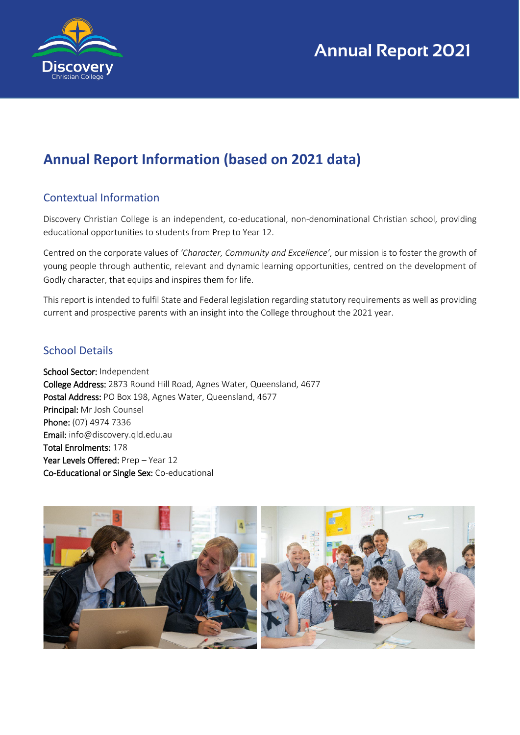

## **Annual Report Information (based on 2021 data)**

### Contextual Information

Discovery Christian College is an independent, co-educational, non-denominational Christian school, providing educational opportunities to students from Prep to Year 12.

Centred on the corporate values of *'Character, Community and Excellence'*, our mission is to foster the growth of young people through authentic, relevant and dynamic learning opportunities, centred on the development of Godly character, that equips and inspires them for life.

This report is intended to fulfil State and Federal legislation regarding statutory requirements as well as providing current and prospective parents with an insight into the College throughout the 2021 year.

#### School Details

School Sector: Independent College Address: 2873 Round Hill Road, Agnes Water, Queensland, 4677 Postal Address: PO Box 198, Agnes Water, Queensland, 4677 Principal: Mr Josh Counsel Phone: (07) 4974 7336 Email: info@discovery.qld.edu.au Total Enrolments: 178 Year Levels Offered: Prep - Year 12 Co-Educational or Single Sex: Co-educational

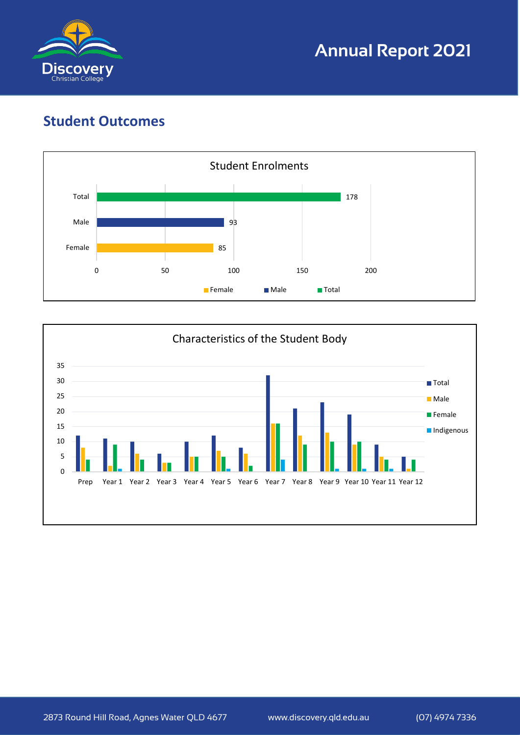

## **Student Outcomes**



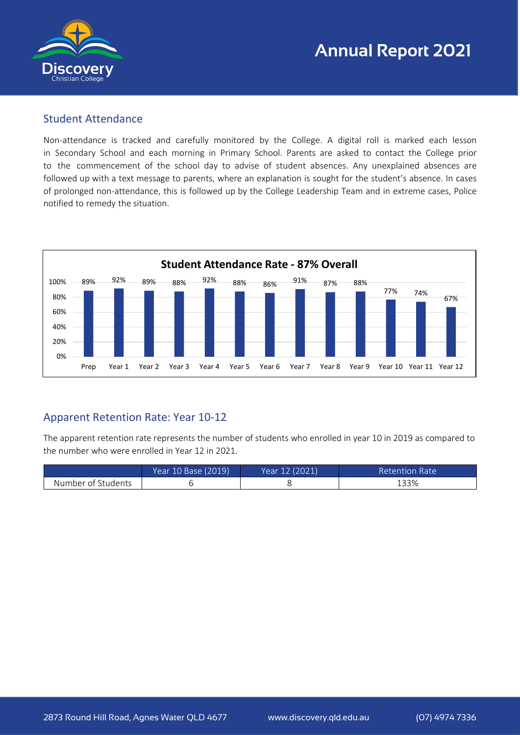

#### Student Attendance

Non-attendance is tracked and carefully monitored by the College. A digital roll is marked each lesson in Secondary School and each morning in Primary School. Parents are asked to contact the College prior to the commencement of the school day to advise of student absences. Any unexplained absences are followed up with a text message to parents, where an explanation is sought for the student's absence. In cases of prolonged non-attendance, this is followed up by the College Leadership Team and in extreme cases, Police notified to remedy the situation.



### Apparent Retention Rate: Year 10-12

The apparent retention rate represents the number of students who enrolled in year 10 in 2019 as compared to the number who were enrolled in Year 12 in 2021.

|                    | Year 10 Base (2019) | Year 12 (2021) | Retention Rate |
|--------------------|---------------------|----------------|----------------|
| Number of Students |                     |                | 133%           |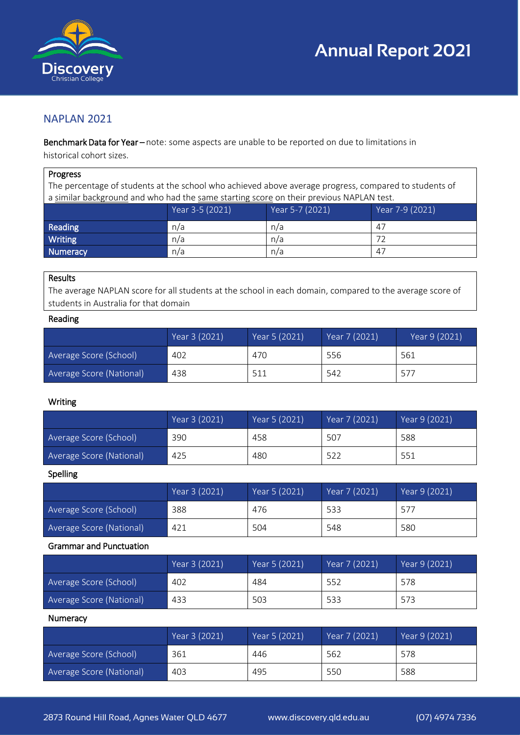



#### NAPLAN 2021

Benchmark Data for Year-note: some aspects are unable to be reported on due to limitations in historical cohort sizes.

#### Progress

The percentage of students at the school who achieved above average progress, compared to students of a similar background and who had the same starting score on their previous NAPLAN test.

|          | Year 3-5 (2021) | Year 5-7 (2021) | Year 7-9 (2021) |
|----------|-----------------|-----------------|-----------------|
| Reading  | n/a             | n/a             | 47              |
| Writing  | n/a             | n/a             |                 |
| Numeracy | n/a             | n/a             | -47             |

#### Results

The average NAPLAN score for all students at the school in each domain, compared to the average score of students in Australia for that domain

#### Reading

|                          | Year 3 (2021) | Year 5 (2021) | Year 7 (2021) | Year 9 (2021) |
|--------------------------|---------------|---------------|---------------|---------------|
| Average Score (School)   | 402           | 470           | 556           | 561           |
| Average Score (National) | 438           | 511           | 542           | 577           |

#### Writing

|                          | Year 3 (2021) | Year 5 (2021) | Year 7 (2021) | Year 9 (2021) |
|--------------------------|---------------|---------------|---------------|---------------|
| Average Score (School)   | 390           | 458           | 507           | 588           |
| Average Score (National) | 425           | 480           | 522           | 551           |

#### Spelling

|                          | Year 3 (2021) | Year 5 (2021) | Year 7 (2021) | Year 9 (2021) |
|--------------------------|---------------|---------------|---------------|---------------|
| Average Score (School)   | 388           | 476           | 533           | 577           |
| Average Score (National) | 421           | 504           | 548           | 580           |

#### Grammar and Punctuation

|                          | Year 3 (2021) | Year 5 (2021) | Year 7 (2021) | Year 9 (2021) |
|--------------------------|---------------|---------------|---------------|---------------|
| Average Score (School)   | 402           | 484           | 552           | 578           |
| Average Score (National) | 433           | 503           | 533           | 573           |

#### **Numeracy**

|                          | Year 3 (2021) | Year 5 (2021) | Year 7 (2021) | Year 9 (2021) |
|--------------------------|---------------|---------------|---------------|---------------|
| Average Score (School)   | 361           | 446           | 562           | 578           |
| Average Score (National) | 403           | 495           | 550           | 588           |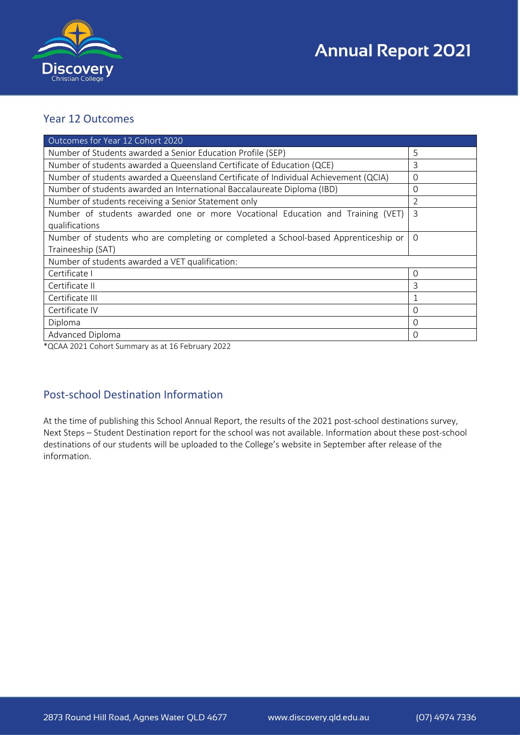

#### Year 12 Outcomes

| Outcomes for Year 12 Cohort 2020                                                     |          |
|--------------------------------------------------------------------------------------|----------|
| Number of Students awarded a Senior Education Profile (SEP)                          | 5        |
| Number of students awarded a Queensland Certificate of Education (QCE)               | 3        |
| Number of students awarded a Queensland Certificate of Individual Achievement (QCIA) | 0        |
| Number of students awarded an International Baccalaureate Diploma (IBD)              | 0        |
| Number of students receiving a Senior Statement only                                 | 2        |
| Number of students awarded one or more Vocational Education and Training (VET)       | 3        |
| qualifications                                                                       |          |
| Number of students who are completing or completed a School-based Apprenticeship or  | $\Omega$ |
| Traineeship (SAT)                                                                    |          |
| Number of students awarded a VET qualification:                                      |          |
| Certificate I                                                                        | $\Omega$ |
| Certificate II                                                                       | 3        |
| Certificate III                                                                      |          |
| Certificate IV                                                                       | O        |
| Diploma                                                                              | $\Omega$ |
| Advanced Diploma                                                                     | 0        |

\*QCAA 2021 Cohort Summary as at 16 February 2022

### Post-school Destination Information

At the time of publishing this School Annual Report, the results of the 2021 post-school destinations survey, Next Steps – Student Destination report for the school was not available. Information about these post-school destinations of our students will be uploaded to the College's website in September after release of the information.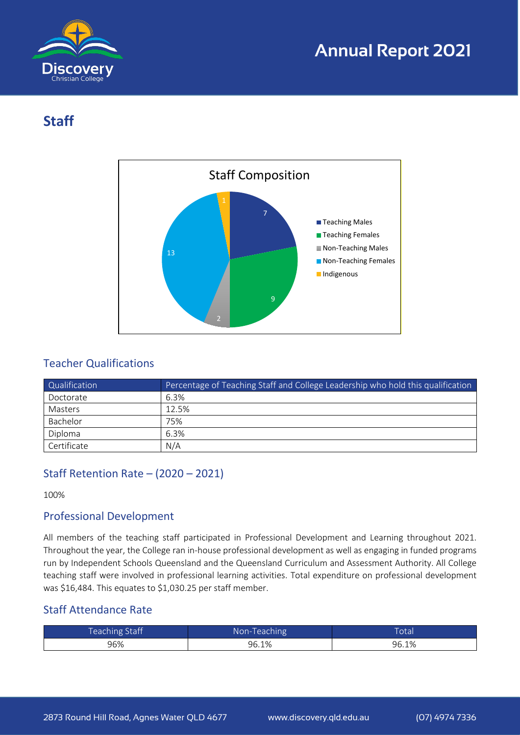

## **Staff**



### Teacher Qualifications

| Qualification | Percentage of Teaching Staff and College Leadership who hold this qualification |
|---------------|---------------------------------------------------------------------------------|
| Doctorate     | 6.3%                                                                            |
| Masters       | 12.5%                                                                           |
| Bachelor      | 75%                                                                             |
| Diploma       | 6.3%                                                                            |
| Certificate   | N/A                                                                             |

## Staff Retention Rate – (2020 – 2021)

100%

#### Professional Development

All members of the teaching staff participated in Professional Development and Learning throughout 2021. Throughout the year, the College ran in-house professional development as well as engaging in funded programs run by Independent Schools Queensland and the Queensland Curriculum and Assessment Authority. All College teaching staff were involved in professional learning activities. Total expenditure on professional development was \$16,484. This equates to \$1,030.25 per staff member.

#### Staff Attendance Rate

| Teaching Staff | Non-Teaching | <b>Total</b> |
|----------------|--------------|--------------|
| 96%            | 96.1%        | 96.1%        |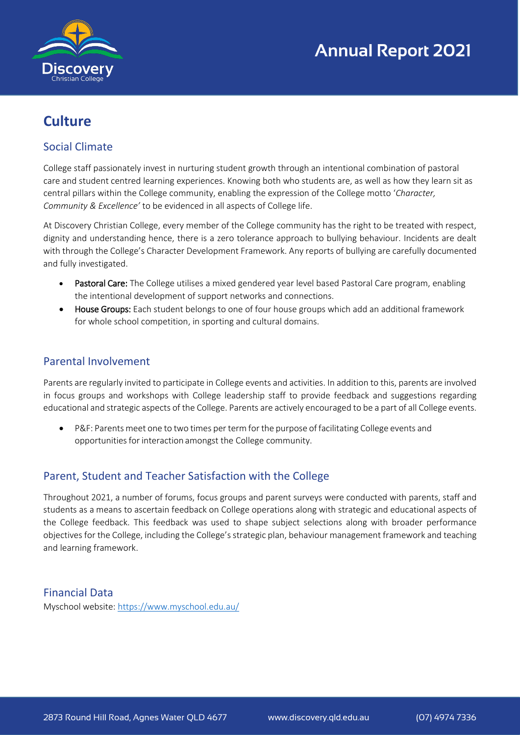

## **Culture**

### Social Climate

College staff passionately invest in nurturing student growth through an intentional combination of pastoral care and student centred learning experiences. Knowing both who students are, as well as how they learn sit as central pillars within the College community, enabling the expression of the College motto '*Character, Community & Excellence'* to be evidenced in all aspects of College life.

At Discovery Christian College, every member of the College community has the right to be treated with respect, dignity and understanding hence, there is a zero tolerance approach to bullying behaviour. Incidents are dealt with through the College's Character Development Framework. Any reports of bullying are carefully documented and fully investigated.

- Pastoral Care: The College utilises a mixed gendered year level based Pastoral Care program, enabling the intentional development of support networks and connections.
- House Groups: Each student belongs to one of four house groups which add an additional framework for whole school competition, in sporting and cultural domains.

#### Parental Involvement

Parents are regularly invited to participate in College events and activities. In addition to this, parents are involved in focus groups and workshops with College leadership staff to provide feedback and suggestions regarding educational and strategic aspects of the College. Parents are actively encouraged to be a part of all College events.

• P&F: Parents meet one to two times per term for the purpose of facilitating College events and opportunities for interaction amongst the College community.

### Parent, Student and Teacher Satisfaction with the College

Throughout 2021, a number of forums, focus groups and parent surveys were conducted with parents, staff and students as a means to ascertain feedback on College operations along with strategic and educational aspects of the College feedback. This feedback was used to shape subject selections along with broader performance objectives for the College, including the College's strategic plan, behaviour management framework and teaching and learning framework.

#### Financial Data

Myschool website:<https://www.myschool.edu.au/>